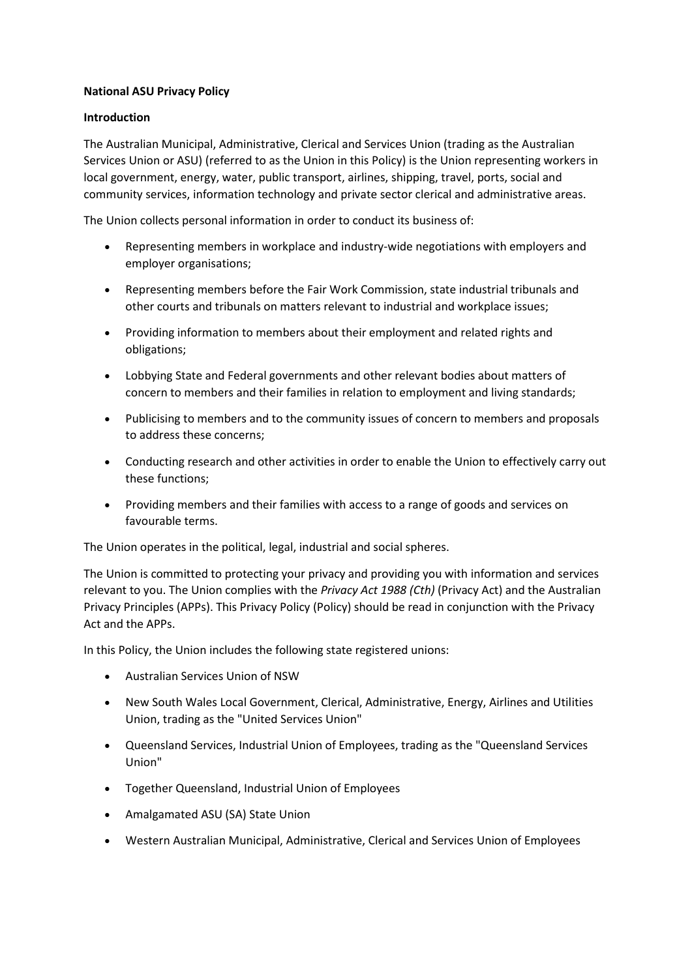# **National ASU Privacy Policy**

## **Introduction**

The Australian Municipal, Administrative, Clerical and Services Union (trading as the Australian Services Union or ASU) (referred to as the Union in this Policy) is the Union representing workers in local government, energy, water, public transport, airlines, shipping, travel, ports, social and community services, information technology and private sector clerical and administrative areas.

The Union collects personal information in order to conduct its business of:

- Representing members in workplace and industry-wide negotiations with employers and employer organisations;
- Representing members before the Fair Work Commission, state industrial tribunals and other courts and tribunals on matters relevant to industrial and workplace issues;
- Providing information to members about their employment and related rights and obligations;
- Lobbying State and Federal governments and other relevant bodies about matters of concern to members and their families in relation to employment and living standards;
- Publicising to members and to the community issues of concern to members and proposals to address these concerns;
- Conducting research and other activities in order to enable the Union to effectively carry out these functions;
- Providing members and their families with access to a range of goods and services on favourable terms.

The Union operates in the political, legal, industrial and social spheres.

The Union is committed to protecting your privacy and providing you with information and services relevant to you. The Union complies with the *Privacy Act 1988 (Cth)* (Privacy Act) and the Australian Privacy Principles (APPs). This Privacy Policy (Policy) should be read in conjunction with the Privacy Act and the APPs.

In this Policy, the Union includes the following state registered unions:

- Australian Services Union of NSW
- New South Wales Local Government, Clerical, Administrative, Energy, Airlines and Utilities Union, trading as the "United Services Union"
- Queensland Services, Industrial Union of Employees, trading as the "Queensland Services Union"
- Together Queensland, Industrial Union of Employees
- Amalgamated ASU (SA) State Union
- Western Australian Municipal, Administrative, Clerical and Services Union of Employees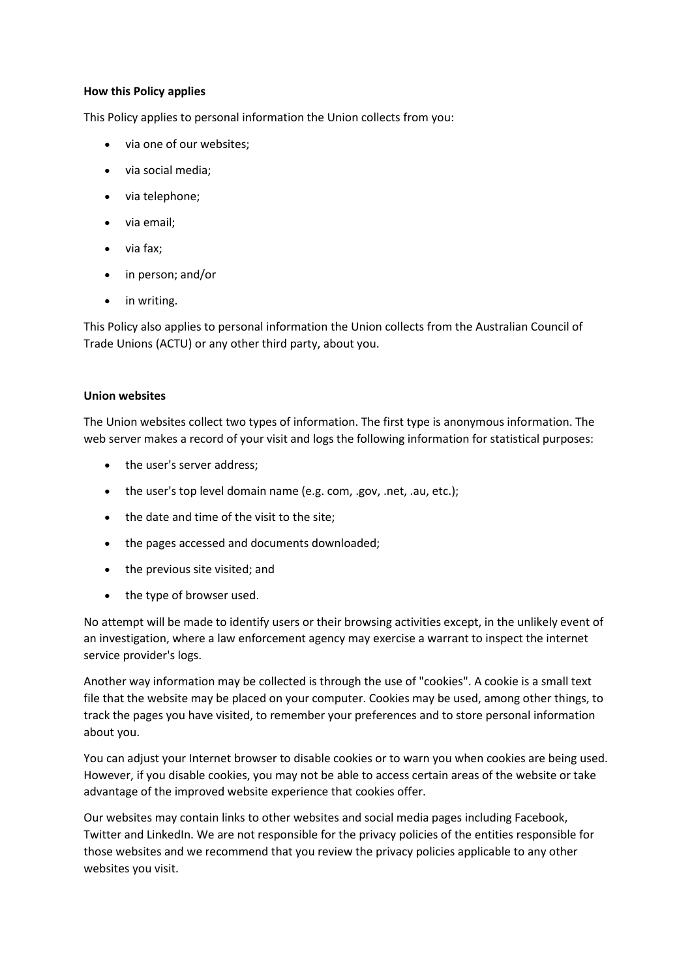## **How this Policy applies**

This Policy applies to personal information the Union collects from you:

- via one of our websites;
- via social media;
- via telephone;
- via email;
- via fax;
- in person; and/or
- in writing.

This Policy also applies to personal information the Union collects from the Australian Council of Trade Unions (ACTU) or any other third party, about you.

## **Union websites**

The Union websites collect two types of information. The first type is anonymous information. The web server makes a record of your visit and logs the following information for statistical purposes:

- the user's server address:
- the user's top level domain name (e.g. com, .gov, .net, .au, etc.);
- the date and time of the visit to the site;
- the pages accessed and documents downloaded;
- the previous site visited; and
- the type of browser used.

No attempt will be made to identify users or their browsing activities except, in the unlikely event of an investigation, where a law enforcement agency may exercise a warrant to inspect the internet service provider's logs.

Another way information may be collected is through the use of "cookies". A cookie is a small text file that the website may be placed on your computer. Cookies may be used, among other things, to track the pages you have visited, to remember your preferences and to store personal information about you.

You can adjust your Internet browser to disable cookies or to warn you when cookies are being used. However, if you disable cookies, you may not be able to access certain areas of the website or take advantage of the improved website experience that cookies offer.

Our websites may contain links to other websites and social media pages including Facebook, Twitter and LinkedIn. We are not responsible for the privacy policies of the entities responsible for those websites and we recommend that you review the privacy policies applicable to any other websites you visit.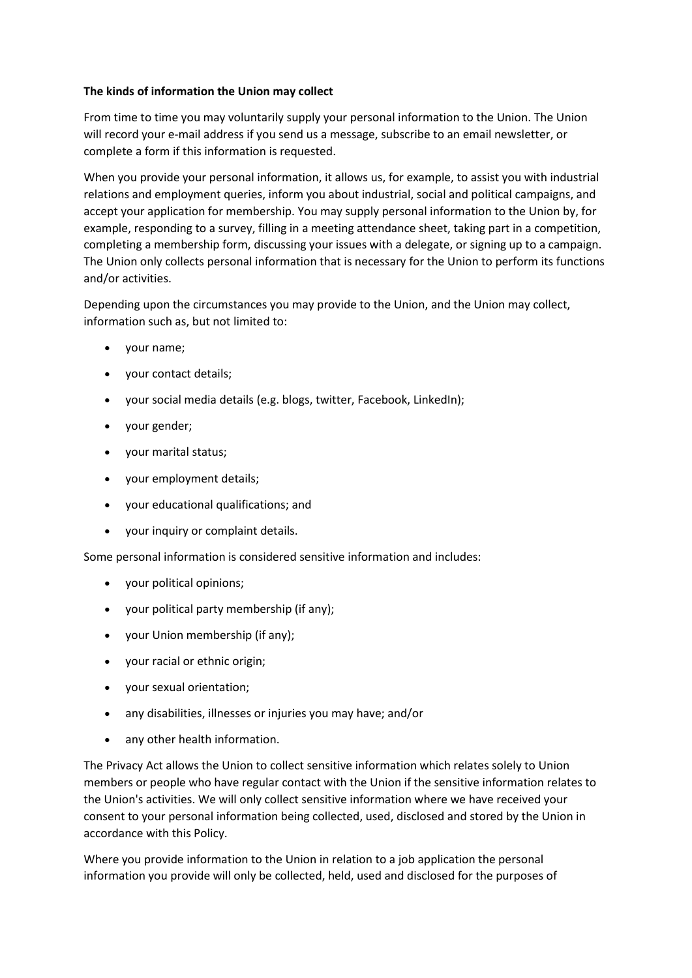## **The kinds of information the Union may collect**

From time to time you may voluntarily supply your personal information to the Union. The Union will record your e-mail address if you send us a message, subscribe to an email newsletter, or complete a form if this information is requested.

When you provide your personal information, it allows us, for example, to assist you with industrial relations and employment queries, inform you about industrial, social and political campaigns, and accept your application for membership. You may supply personal information to the Union by, for example, responding to a survey, filling in a meeting attendance sheet, taking part in a competition, completing a membership form, discussing your issues with a delegate, or signing up to a campaign. The Union only collects personal information that is necessary for the Union to perform its functions and/or activities.

Depending upon the circumstances you may provide to the Union, and the Union may collect, information such as, but not limited to:

- your name;
- your contact details;
- your social media details (e.g. blogs, twitter, Facebook, LinkedIn);
- your gender;
- your marital status;
- your employment details;
- your educational qualifications; and
- your inquiry or complaint details.

Some personal information is considered sensitive information and includes:

- your political opinions;
- your political party membership (if any);
- your Union membership (if any);
- your racial or ethnic origin;
- your sexual orientation;
- any disabilities, illnesses or injuries you may have; and/or
- any other health information.

The Privacy Act allows the Union to collect sensitive information which relates solely to Union members or people who have regular contact with the Union if the sensitive information relates to the Union's activities. We will only collect sensitive information where we have received your consent to your personal information being collected, used, disclosed and stored by the Union in accordance with this Policy.

Where you provide information to the Union in relation to a job application the personal information you provide will only be collected, held, used and disclosed for the purposes of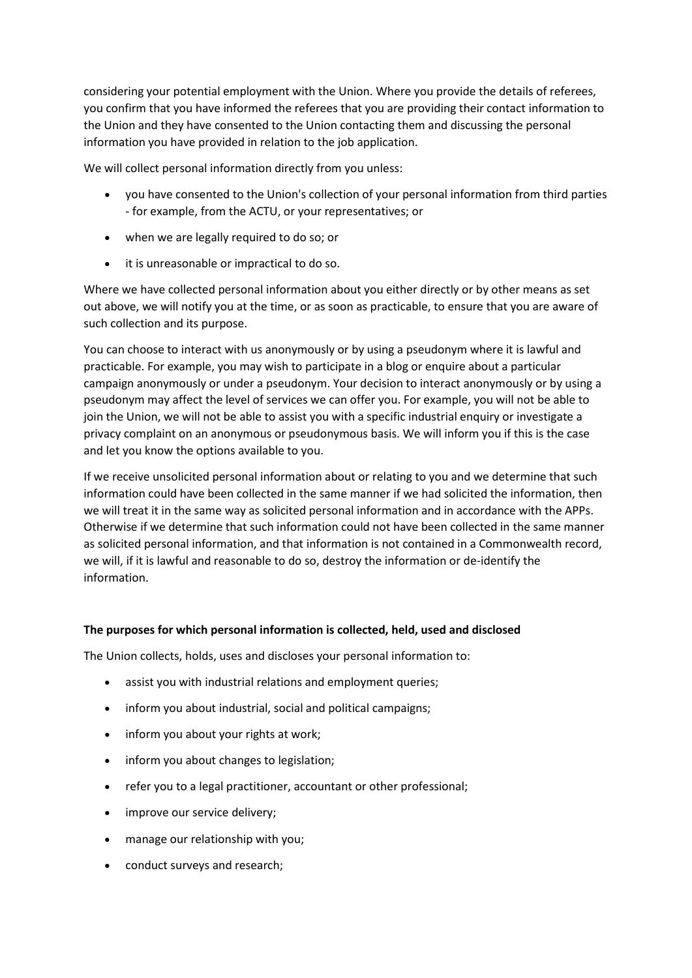considering your potential employment with the Union. Where you provide the details of referees, you confirm that you have informed the referees that you are providing their contact information to the Union and they have consented to the Union contacting them and discussing the personal information you have provided in relation to the job application.

We will collect personal information directly from you unless:

- you have consented to the Union's collection of your personal information from third parties - for example, from the ACTU, or your representatives; or
- when we are legally required to do so; or
- it is unreasonable or impractical to do so.

Where we have collected personal information about you either directly or by other means as set out above, we will notify you at the time, or as soon as practicable, to ensure that you are aware of such collection and its purpose.

You can choose to interact with us anonymously or by using a pseudonym where it is lawful and practicable. For example, you may wish to participate in a blog or enquire about a particular campaign anonymously or under a pseudonym. Your decision to interact anonymously or by using a pseudonym may affect the level of services we can offer you. For example, you will not be able to join the Union, we will not be able to assist you with a specific industrial enquiry or investigate a privacy complaint on an anonymous or pseudonymous basis. We will inform you if this is the case and let you know the options available to you.

If we receive unsolicited personal information about or relating to you and we determine that such information could have been collected in the same manner if we had solicited the information, then we will treat it in the same way as solicited personal information and in accordance with the APPs. Otherwise if we determine that such information could not have been collected in the same manner as solicited personal information, and that information is not contained in a Commonwealth record, we will, if it is lawful and reasonable to do so, destroy the information or de-identify the information.

# **The purposes for which personal information is collected, held, used and disclosed**

The Union collects, holds, uses and discloses your personal information to:

- assist you with industrial relations and employment queries;
- inform you about industrial, social and political campaigns;
- inform you about your rights at work;
- inform you about changes to legislation;
- refer you to a legal practitioner, accountant or other professional;
- improve our service delivery;
- manage our relationship with you;
- conduct surveys and research;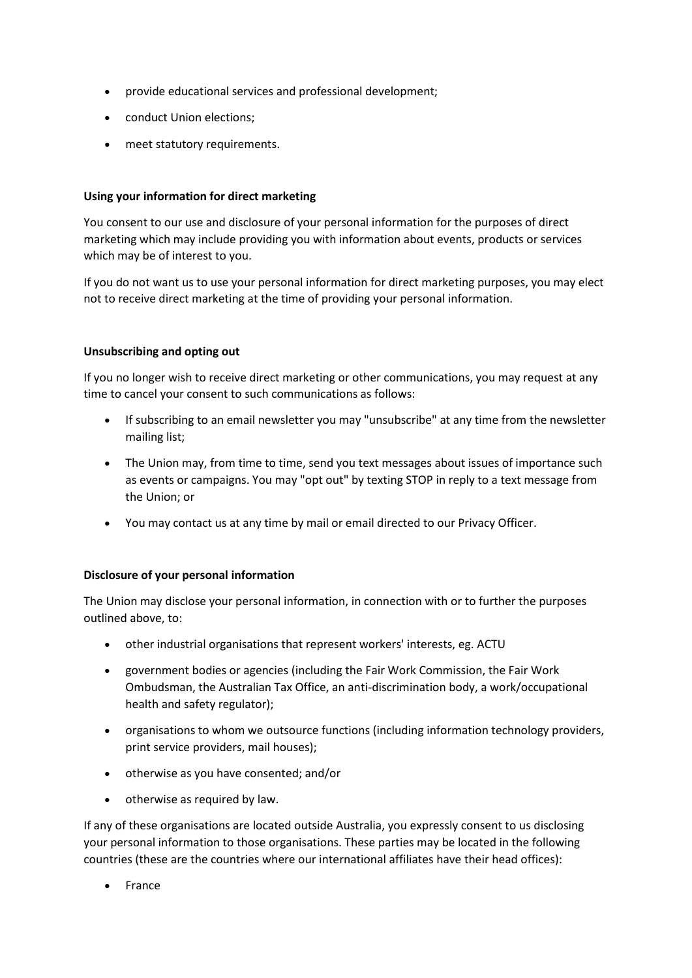- provide educational services and professional development;
- conduct Union elections;
- meet statutory requirements.

# **Using your information for direct marketing**

You consent to our use and disclosure of your personal information for the purposes of direct marketing which may include providing you with information about events, products or services which may be of interest to you.

If you do not want us to use your personal information for direct marketing purposes, you may elect not to receive direct marketing at the time of providing your personal information.

## **Unsubscribing and opting out**

If you no longer wish to receive direct marketing or other communications, you may request at any time to cancel your consent to such communications as follows:

- If subscribing to an email newsletter you may "unsubscribe" at any time from the newsletter mailing list;
- The Union may, from time to time, send you text messages about issues of importance such as events or campaigns. You may "opt out" by texting STOP in reply to a text message from the Union; or
- You may contact us at any time by mail or email directed to our Privacy Officer.

# **Disclosure of your personal information**

The Union may disclose your personal information, in connection with or to further the purposes outlined above, to:

- other industrial organisations that represent workers' interests, eg. ACTU
- government bodies or agencies (including the Fair Work Commission, the Fair Work Ombudsman, the Australian Tax Office, an anti-discrimination body, a work/occupational health and safety regulator);
- organisations to whom we outsource functions (including information technology providers, print service providers, mail houses);
- otherwise as you have consented; and/or
- otherwise as required by law.

If any of these organisations are located outside Australia, you expressly consent to us disclosing your personal information to those organisations. These parties may be located in the following countries (these are the countries where our international affiliates have their head offices):

• France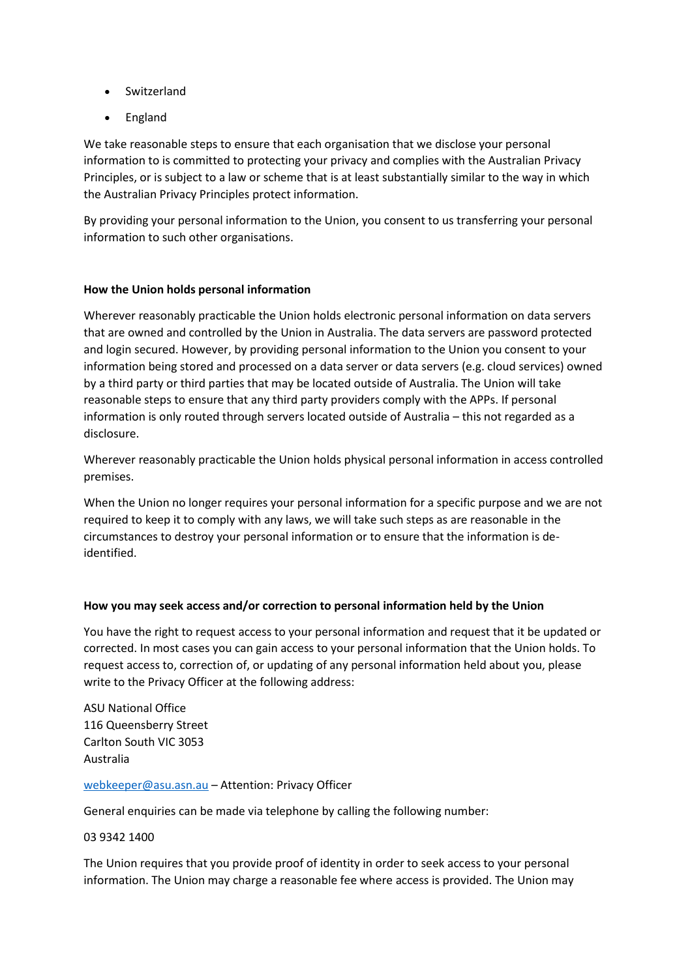- Switzerland
- England

We take reasonable steps to ensure that each organisation that we disclose your personal information to is committed to protecting your privacy and complies with the Australian Privacy Principles, or is subject to a law or scheme that is at least substantially similar to the way in which the Australian Privacy Principles protect information.

By providing your personal information to the Union, you consent to us transferring your personal information to such other organisations.

## **How the Union holds personal information**

Wherever reasonably practicable the Union holds electronic personal information on data servers that are owned and controlled by the Union in Australia. The data servers are password protected and login secured. However, by providing personal information to the Union you consent to your information being stored and processed on a data server or data servers (e.g. cloud services) owned by a third party or third parties that may be located outside of Australia. The Union will take reasonable steps to ensure that any third party providers comply with the APPs. If personal information is only routed through servers located outside of Australia – this not regarded as a disclosure.

Wherever reasonably practicable the Union holds physical personal information in access controlled premises.

When the Union no longer requires your personal information for a specific purpose and we are not required to keep it to comply with any laws, we will take such steps as are reasonable in the circumstances to destroy your personal information or to ensure that the information is deidentified.

## **How you may seek access and/or correction to personal information held by the Union**

You have the right to request access to your personal information and request that it be updated or corrected. In most cases you can gain access to your personal information that the Union holds. To request access to, correction of, or updating of any personal information held about you, please write to the Privacy Officer at the following address:

ASU National Office 116 Queensberry Street Carlton South VIC 3053 Australia

#### [webkeeper@asu.asn.au](mailto:webkeeper@asu.asn.au?subject=Attention:%20Privacy%20Officer) – Attention: Privacy Officer

General enquiries can be made via telephone by calling the following number:

03 9342 1400

The Union requires that you provide proof of identity in order to seek access to your personal information. The Union may charge a reasonable fee where access is provided. The Union may